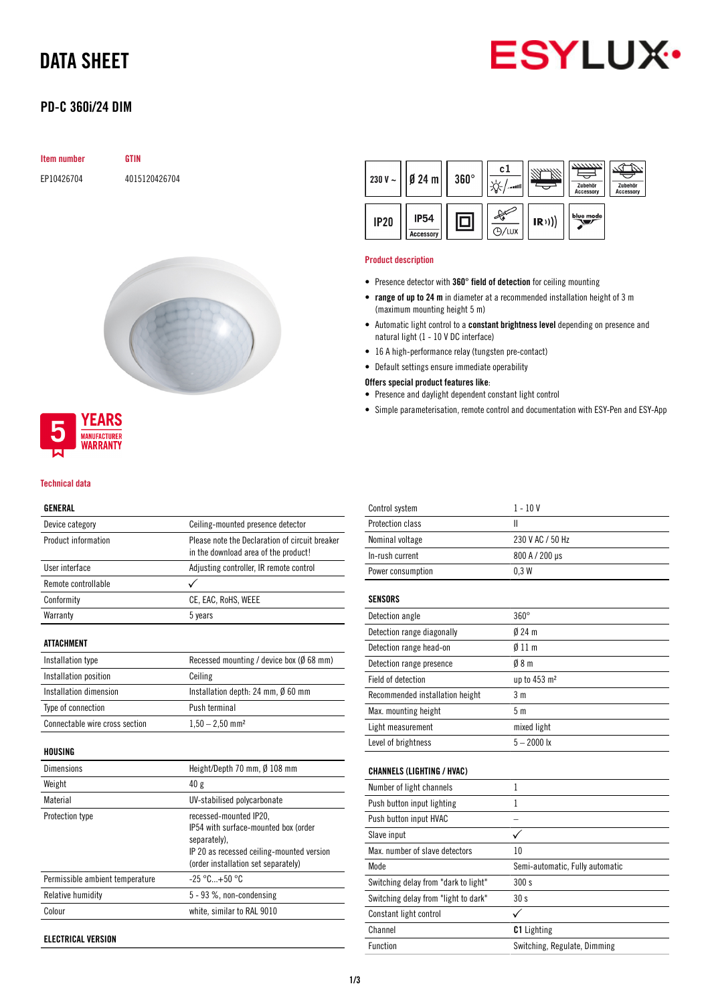# DATA SHEET



## PD-C 360i/24 DIM

| <b>Item number</b> | GTIN          |
|--------------------|---------------|
| EP10426704         | 4015120426704 |





#### Technical data

#### GENERAL

| Device category                | Ceiling-mounted presence detector                                                      |
|--------------------------------|----------------------------------------------------------------------------------------|
| Product information            | Please note the Declaration of circuit breaker<br>in the download area of the product! |
| <b>Ilser interface</b>         | Adjusting controller, IR remote control                                                |
| Remote controllable            |                                                                                        |
| Conformity                     | CE, EAC, RoHS, WEEE                                                                    |
| Warranty                       | 5 years                                                                                |
| ATTACHMENT                     |                                                                                        |
| Installation type              | Recessed mounting / device box ( $\emptyset$ 68 mm)                                    |
| Installation position          | Ceiling                                                                                |
| Installation dimension         | Installation depth: 24 mm, $\emptyset$ 60 mm                                           |
| Type of connection             | Push terminal                                                                          |
| Connectable wire cross section | $1,50 - 2,50$ mm <sup>2</sup>                                                          |
| HOUSING                        |                                                                                        |
| Dimensions                     | Height/Depth 70 mm, Ø 108 mm                                                           |
| Weight                         | 40 <sub>g</sub>                                                                        |
| Material                       | <b>IIV-stabilised polycarbonate</b>                                                    |

| Material                        | UV-stabilised polycarbonate                                                                                                                                        |
|---------------------------------|--------------------------------------------------------------------------------------------------------------------------------------------------------------------|
| Protection type                 | recessed-mounted IP20,<br>IP54 with surface-mounted box (order<br>separately).<br>IP 20 as recessed ceiling-mounted version<br>(order installation set separately) |
| Permissible ambient temperature | $-25 °C+50 °C$                                                                                                                                                     |
| Relative humidity               | 5 - 93 %, non-condensing                                                                                                                                           |
| Colour                          | white, similar to RAL 9010                                                                                                                                         |
|                                 |                                                                                                                                                                    |

ELECTRICAL VERSION



#### Product description

- Presence detector with 360° field of detection for ceiling mounting
- range of up to 24 m in diameter at a recommended installation height of 3 m (maximum mounting height 5 m)
- Automatic light control to a constant brightness level depending on presence and natural light (1 - 10 V DC interface)
- 16 A high-performance relay (tungsten pre-contact)
- Default settings ensure immediate operability

Offers special product features like:

- Presence and daylight dependent constant light control
- Simple parameterisation, remote control and documentation with ESY-Pen and ESY-App

| Control system                       | $1 - 10V$                       |
|--------------------------------------|---------------------------------|
| Protection class                     | Ш                               |
| Nominal voltage                      | 230 V AC / 50 Hz                |
| In-rush current                      | 800 A / 200 µs                  |
| Power consumption                    | 0.3W                            |
|                                      |                                 |
| <b>SENSORS</b>                       |                                 |
| Detection angle                      | $360^\circ$                     |
| Detection range diagonally           | $0/24$ m                        |
| Detection range head-on              | 011 <sub>m</sub>                |
| Detection range presence             | 08 <sub>m</sub>                 |
| Field of detection                   | up to 453 m <sup>2</sup>        |
| Recommended installation height      | 3 <sub>m</sub>                  |
| Max. mounting height                 | 5 <sub>m</sub>                  |
| Light measurement                    | mixed light                     |
| Level of brightness                  | $5 - 2000$ lx                   |
|                                      |                                 |
| <b>CHANNELS (LIGHTING / HVAC)</b>    |                                 |
| Number of light channels             | 1                               |
| Push button input lighting           | 1                               |
| Push button input HVAC               |                                 |
| Slave input                          |                                 |
| Max, number of slave detectors       | 10                              |
| Mode                                 | Semi-automatic, Fully automatic |
| Switching delay from "dark to light" | 300 s                           |
| Switching delay from "light to dark" | 30 <sub>s</sub>                 |
| Constant light control               | ✓                               |
| Channel                              | <b>C1</b> Lighting              |
| <b>Function</b>                      | Switching, Regulate, Dimming    |
|                                      |                                 |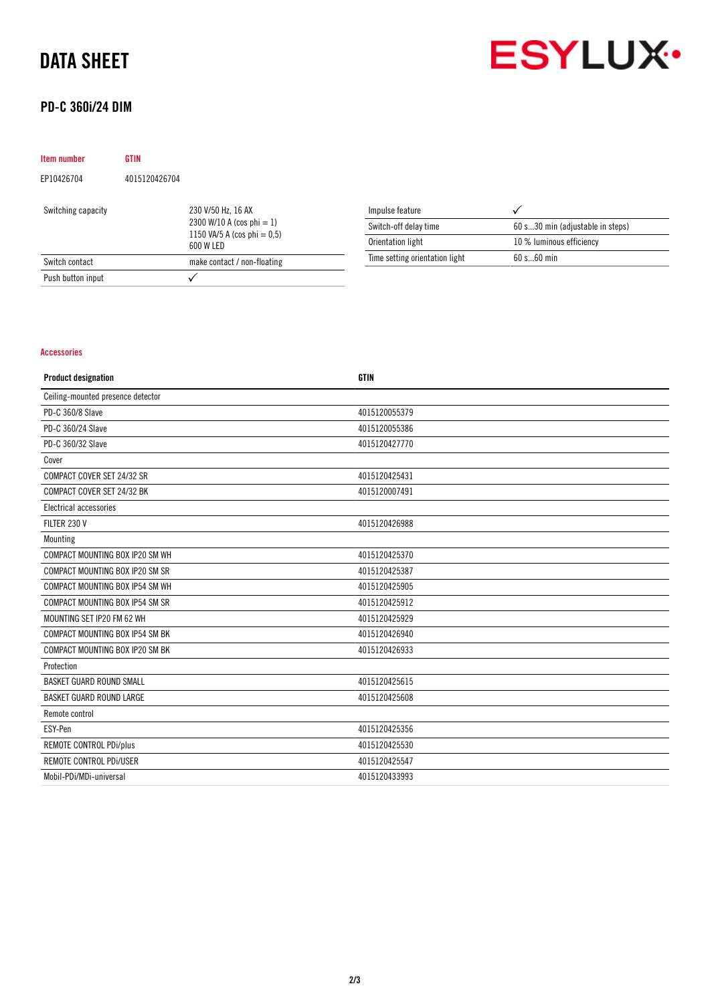## DATA SHEET





## PD-C 360i/24 DIM

| <b>Item number</b> | GTIN          |                                                                                                   |  |
|--------------------|---------------|---------------------------------------------------------------------------------------------------|--|
| EP10426704         | 4015120426704 |                                                                                                   |  |
| Switching capacity |               | 230 V/50 Hz, 16 AX<br>2300 W/10 A (cos phi $= 1$ )<br>1150 VA/5 A (cos phi = $0.5$ )<br>600 W LED |  |
| Switch contact     |               | make contact / non-floating                                                                       |  |
| Push button input  |               |                                                                                                   |  |

| Impulse feature                |                                  |
|--------------------------------|----------------------------------|
| Switch-off delay time          | 60 s30 min (adjustable in steps) |
| Orientation light              | 10 % luminous efficiency         |
| Time setting orientation light | 60 s 60 min                      |

### Accessories

| <b>Product designation</b>        | <b>GTIN</b>   |
|-----------------------------------|---------------|
| Ceiling-mounted presence detector |               |
| PD-C 360/8 Slave                  | 4015120055379 |
| PD-C 360/24 Slave                 | 4015120055386 |
| PD-C 360/32 Slave                 | 4015120427770 |
| Cover                             |               |
| COMPACT COVER SET 24/32 SR        | 4015120425431 |
| COMPACT COVER SET 24/32 BK        | 4015120007491 |
| Electrical accessories            |               |
| FILTER 230 V                      | 4015120426988 |
| Mounting                          |               |
| COMPACT MOUNTING BOX IP20 SM WH   | 4015120425370 |
| COMPACT MOUNTING BOX IP20 SM SR   | 4015120425387 |
| COMPACT MOUNTING BOX IP54 SM WH   | 4015120425905 |
| COMPACT MOUNTING BOX IP54 SM SR   | 4015120425912 |
| MOUNTING SET IP20 FM 62 WH        | 4015120425929 |
| COMPACT MOUNTING BOX IP54 SM BK   | 4015120426940 |
| COMPACT MOUNTING BOX IP20 SM BK   | 4015120426933 |
| Protection                        |               |
| <b>BASKET GUARD ROUND SMALL</b>   | 4015120425615 |
| <b>BASKET GUARD ROUND LARGE</b>   | 4015120425608 |
| Remote control                    |               |
| ESY-Pen                           | 4015120425356 |
| REMOTE CONTROL PDi/plus           | 4015120425530 |
| REMOTE CONTROL PDI/USER           | 4015120425547 |
| Mobil-PDi/MDi-universal           | 4015120433993 |